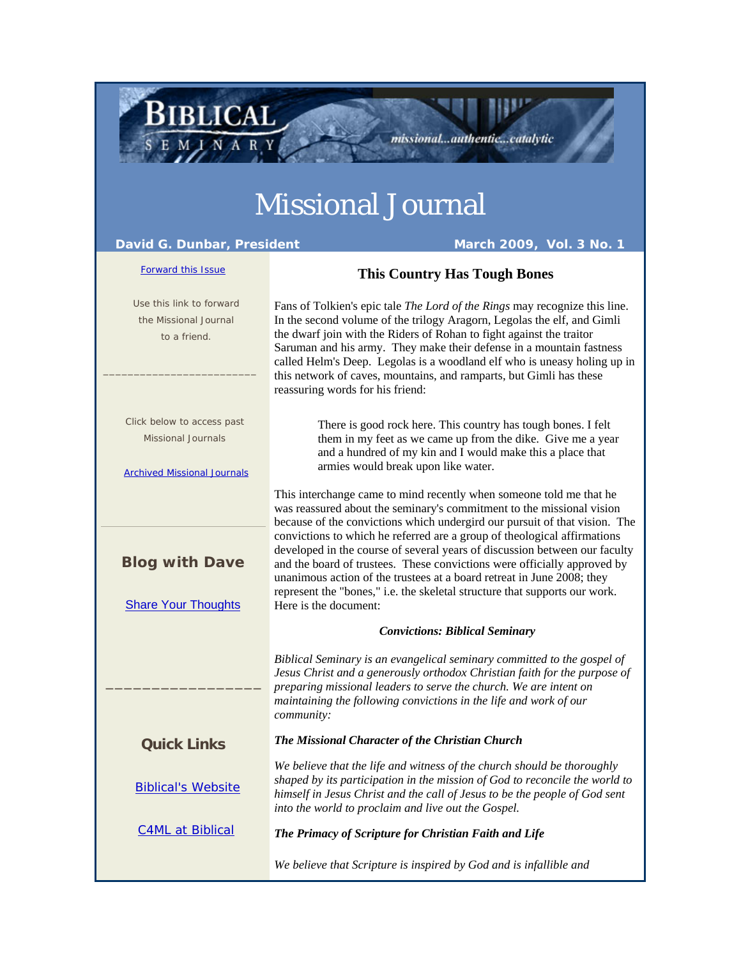# Missional Journal

### **David G. Dunbar, President March 2009, Vol. 3 No. 1**

**BIBLICAL** 

### Forward this Issue

## **This Country Has Tough Bones**

missional...authentic...catalytic

 Use this link to forward the Missional Journal to a friend.  $\frac{1}{2}$  , and the set of the set of the set of the set of the set of the set of the set of the set of the set of the set of the set of the set of the set of the set of the set of the set of the set of the set of the set Click below to access past Missional Journals Archived Missional Journals **Blog with Dave Share Your Thoughts** \_\_\_\_\_\_\_\_\_\_\_\_\_\_\_\_\_ **Quick Links** Biblical's Website C4ML at Biblical Fans of Tolkien's epic tale *The Lord of the Rings* may recognize this line. In the second volume of the trilogy Aragorn, Legolas the elf, and Gimli the dwarf join with the Riders of Rohan to fight against the traitor Saruman and his army. They make their defense in a mountain fastness called Helm's Deep. Legolas is a woodland elf who is uneasy holing up in this network of caves, mountains, and ramparts, but Gimli has these reassuring words for his friend: There is good rock here. This country has tough bones. I felt them in my feet as we came up from the dike. Give me a year and a hundred of my kin and I would make this a place that armies would break upon like water. This interchange came to mind recently when someone told me that he was reassured about the seminary's commitment to the missional vision because of the convictions which undergird our pursuit of that vision. The convictions to which he referred are a group of theological affirmations developed in the course of several years of discussion between our faculty and the board of trustees. These convictions were officially approved by unanimous action of the trustees at a board retreat in June 2008; they represent the "bones," i.e. the skeletal structure that supports our work. Here is the document: *Convictions: Biblical Seminary Biblical Seminary is an evangelical seminary committed to the gospel of Jesus Christ and a generously orthodox Christian faith for the purpose of preparing missional leaders to serve the church. We are intent on maintaining the following convictions in the life and work of our community: The Missional Character of the Christian Church We believe that the life and witness of the church should be thoroughly shaped by its participation in the mission of God to reconcile the world to himself in Jesus Christ and the call of Jesus to be the people of God sent into the world to proclaim and live out the Gospel. The Primacy of Scripture for Christian Faith and Life We believe that Scripture is inspired by God and is infallible and*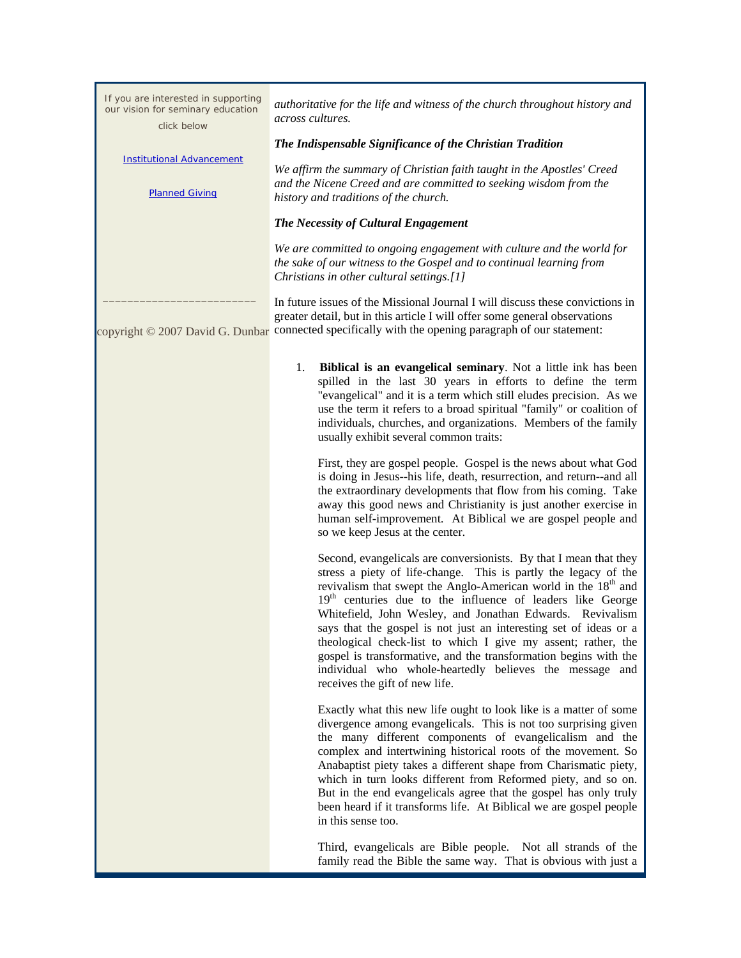| If you are interested in supporting<br>our vision for seminary education<br>click below | authoritative for the life and witness of the church throughout history and<br>across cultures.                                                                                                                                                                                                                                                                                                                                                                                                                                                                                                                                                                  |
|-----------------------------------------------------------------------------------------|------------------------------------------------------------------------------------------------------------------------------------------------------------------------------------------------------------------------------------------------------------------------------------------------------------------------------------------------------------------------------------------------------------------------------------------------------------------------------------------------------------------------------------------------------------------------------------------------------------------------------------------------------------------|
|                                                                                         | The Indispensable Significance of the Christian Tradition                                                                                                                                                                                                                                                                                                                                                                                                                                                                                                                                                                                                        |
| <b>Institutional Advancement</b><br><b>Planned Giving</b>                               | We affirm the summary of Christian faith taught in the Apostles' Creed<br>and the Nicene Creed and are committed to seeking wisdom from the<br>history and traditions of the church.                                                                                                                                                                                                                                                                                                                                                                                                                                                                             |
|                                                                                         | The Necessity of Cultural Engagement                                                                                                                                                                                                                                                                                                                                                                                                                                                                                                                                                                                                                             |
|                                                                                         | We are committed to ongoing engagement with culture and the world for<br>the sake of our witness to the Gospel and to continual learning from<br>Christians in other cultural settings.[1]                                                                                                                                                                                                                                                                                                                                                                                                                                                                       |
|                                                                                         | In future issues of the Missional Journal I will discuss these convictions in<br>greater detail, but in this article I will offer some general observations<br>copyright © 2007 David G. Dunbar connected specifically with the opening paragraph of our statement:                                                                                                                                                                                                                                                                                                                                                                                              |
|                                                                                         | 1.<br><b>Biblical is an evangelical seminary.</b> Not a little ink has been<br>spilled in the last 30 years in efforts to define the term<br>"evangelical" and it is a term which still eludes precision. As we<br>use the term it refers to a broad spiritual "family" or coalition of<br>individuals, churches, and organizations. Members of the family<br>usually exhibit several common traits:                                                                                                                                                                                                                                                             |
|                                                                                         | First, they are gospel people. Gospel is the news about what God<br>is doing in Jesus--his life, death, resurrection, and return--and all<br>the extraordinary developments that flow from his coming. Take<br>away this good news and Christianity is just another exercise in<br>human self-improvement. At Biblical we are gospel people and<br>so we keep Jesus at the center.                                                                                                                                                                                                                                                                               |
|                                                                                         | Second, evangelicals are conversionists. By that I mean that they<br>stress a piety of life-change. This is partly the legacy of the<br>revivalism that swept the Anglo-American world in the 18 <sup>th</sup> and<br>19 <sup>th</sup> centuries due to the influence of leaders like George<br>Whitefield, John Wesley, and Jonathan Edwards. Revivalism<br>says that the gospel is not just an interesting set of ideas or a<br>theological check-list to which I give my assent; rather, the<br>gospel is transformative, and the transformation begins with the<br>individual who whole-heartedly believes the message and<br>receives the gift of new life. |
|                                                                                         | Exactly what this new life ought to look like is a matter of some<br>divergence among evangelicals. This is not too surprising given<br>the many different components of evangelicalism and the<br>complex and intertwining historical roots of the movement. So<br>Anabaptist piety takes a different shape from Charismatic piety,<br>which in turn looks different from Reformed piety, and so on.<br>But in the end evangelicals agree that the gospel has only truly<br>been heard if it transforms life. At Biblical we are gospel people<br>in this sense too.                                                                                            |
|                                                                                         | Third, evangelicals are Bible people. Not all strands of the<br>family read the Bible the same way. That is obvious with just a                                                                                                                                                                                                                                                                                                                                                                                                                                                                                                                                  |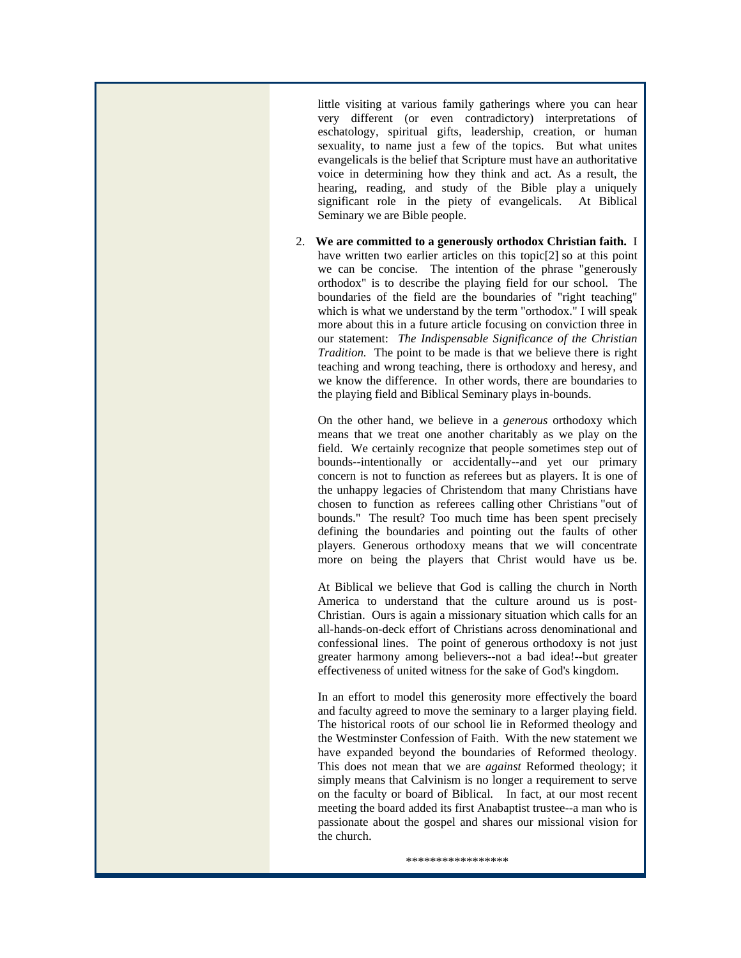little visiting at various family gatherings where you can hear very different (or even contradictory) interpretations of eschatology, spiritual gifts, leadership, creation, or human sexuality, to name just a few of the topics. But what unites evangelicals is the belief that Scripture must have an authoritative voice in determining how they think and act. As a result, the hearing, reading, and study of the Bible play a uniquely significant role in the piety of evangelicals. At Biblical Seminary we are Bible people.

2. **We are committed to a generously orthodox Christian faith.** I have written two earlier articles on this topic<sup>[2]</sup> so at this point we can be concise. The intention of the phrase "generously orthodox" is to describe the playing field for our school. The boundaries of the field are the boundaries of "right teaching" which is what we understand by the term "orthodox." I will speak more about this in a future article focusing on conviction three in our statement: *The Indispensable Significance of the Christian Tradition.* The point to be made is that we believe there is right teaching and wrong teaching, there is orthodoxy and heresy, and we know the difference. In other words, there are boundaries to the playing field and Biblical Seminary plays in-bounds.

On the other hand, we believe in a *generous* orthodoxy which means that we treat one another charitably as we play on the field. We certainly recognize that people sometimes step out of bounds--intentionally or accidentally--and yet our primary concern is not to function as referees but as players. It is one of the unhappy legacies of Christendom that many Christians have chosen to function as referees calling other Christians "out of bounds." The result? Too much time has been spent precisely defining the boundaries and pointing out the faults of other players. Generous orthodoxy means that we will concentrate more on being the players that Christ would have us be.

At Biblical we believe that God is calling the church in North America to understand that the culture around us is post-Christian. Ours is again a missionary situation which calls for an all-hands-on-deck effort of Christians across denominational and confessional lines. The point of generous orthodoxy is not just greater harmony among believers--not a bad idea!--but greater effectiveness of united witness for the sake of God's kingdom.

In an effort to model this generosity more effectively the board and faculty agreed to move the seminary to a larger playing field. The historical roots of our school lie in Reformed theology and the Westminster Confession of Faith. With the new statement we have expanded beyond the boundaries of Reformed theology. This does not mean that we are *against* Reformed theology; it simply means that Calvinism is no longer a requirement to serve on the faculty or board of Biblical. In fact, at our most recent meeting the board added its first Anabaptist trustee--a man who is passionate about the gospel and shares our missional vision for the church.

\*\*\*\*\*\*\*\*\*\*\*\*\*\*\*\*\*